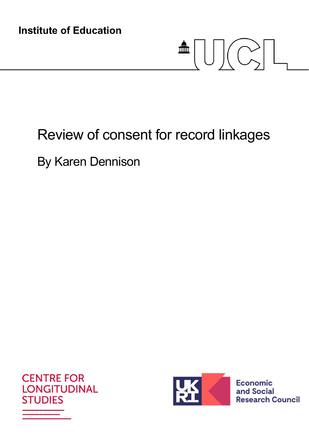**Institute of Education** 

# $\blacksquare \textcolor{red}{\textbf{[}}\textcolor{blue}{\textbf{[}}\textcolor{blue}{\textbf{[}}\textcolor{blue}{\textbf{[}}\textcolor{blue}{\textbf{[}}\textcolor{blue}{\textbf{[}}\textcolor{blue}{\textbf{[}}\textcolor{blue}{\textbf{[}}\textcolor{blue}{\textbf{[}}\textcolor{blue}{\textbf{[}}\textcolor{blue}{\textbf{[}}\textcolor{blue}{\textbf{[}}\textcolor{blue}{\textbf{[}}\textcolor{blue}{\textbf{[}}\textcolor{blue}{\textbf{[}}\textcolor{blue}{\textbf{[}}\textcolor{blue}{\textbf{[}}\textcolor{blue}{\textbf{[}}$

## Review of consent for record linkages

By Karen Dennison





**Economic** and Social **Research Council**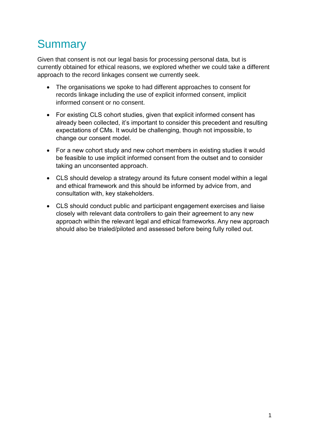## **Summary**

Given that consent is not our legal basis for processing personal data, but is currently obtained for ethical reasons, we explored whether we could take a different approach to the record linkages consent we currently seek.

- The organisations we spoke to had different approaches to consent for records linkage including the use of explicit informed consent, implicit informed consent or no consent.
- For existing CLS cohort studies, given that explicit informed consent has already been collected, it's important to consider this precedent and resulting expectations of CMs. It would be challenging, though not impossible, to change our consent model.
- For a new cohort study and new cohort members in existing studies it would be feasible to use implicit informed consent from the outset and to consider taking an unconsented approach.
- CLS should develop a strategy around its future consent model within a legal and ethical framework and this should be informed by advice from, and consultation with, key stakeholders.
- CLS should conduct public and participant engagement exercises and liaise closely with relevant data controllers to gain their agreement to any new approach within the relevant legal and ethical frameworks. Any new approach should also be trialed/piloted and assessed before being fully rolled out.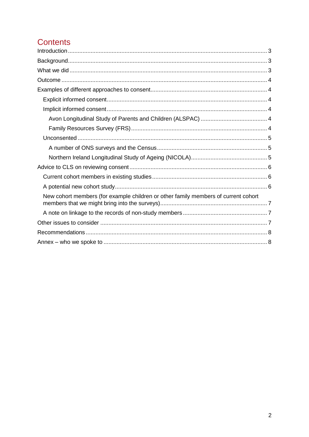#### **Contents**

| New cohort members (for example children or other family members of current cohort |  |
|------------------------------------------------------------------------------------|--|
|                                                                                    |  |
|                                                                                    |  |
|                                                                                    |  |
|                                                                                    |  |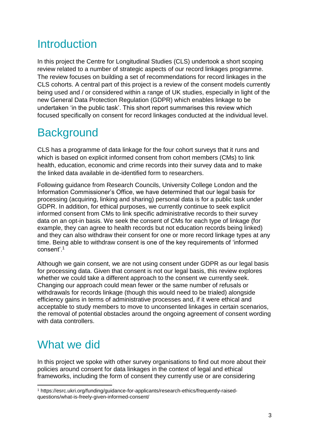## <span id="page-3-0"></span>**Introduction**

In this project the Centre for Longitudinal Studies (CLS) undertook a short scoping review related to a number of strategic aspects of our record linkages programme. The review focuses on building a set of recommendations for record linkages in the CLS cohorts. A central part of this project is a review of the consent models currently being used and / or considered within a range of UK studies, especially in light of the new General Data Protection Regulation (GDPR) which enables linkage to be undertaken 'in the public task'. This short report summarises this review which focused specifically on consent for record linkages conducted at the individual level.

## <span id="page-3-1"></span>**Background**

CLS has a programme of data linkage for the four cohort surveys that it runs and which is based on explicit informed consent from cohort members (CMs) to link health, education, economic and crime records into their survey data and to make the linked data available in de-identified form to researchers.

Following guidance from Research Councils, University College London and the Information Commissioner's Office, we have determined that our legal basis for processing (acquiring, linking and sharing) personal data is for a public task under GDPR. In addition, for ethical purposes, we currently continue to seek explicit informed consent from CMs to link specific administrative records to their survey data on an opt-in basis. We seek the consent of CMs for each type of linkage (for example, they can agree to health records but not education records being linked) and they can also withdraw their consent for one or more record linkage types at any time. Being able to withdraw consent is one of the key requirements of 'informed consent'.<sup>1</sup>

Although we gain consent, we are not using consent under GDPR as our legal basis for processing data. Given that consent is not our legal basis, this review explores whether we could take a different approach to the consent we currently seek. Changing our approach could mean fewer or the same number of refusals or withdrawals for records linkage (though this would need to be trialed) alongside efficiency gains in terms of administrative processes and, if it were ethical and acceptable to study members to move to unconsented linkages in certain scenarios, the removal of potential obstacles around the ongoing agreement of consent wording with data controllers.

## <span id="page-3-2"></span>What we did

-

In this project we spoke with other survey organisations to find out more about their policies around consent for data linkages in the context of legal and ethical frameworks, including the form of consent they currently use or are considering

<sup>1</sup> https://esrc.ukri.org/funding/guidance-for-applicants/research-ethics/frequently-raisedquestions/what-is-freely-given-informed-consent/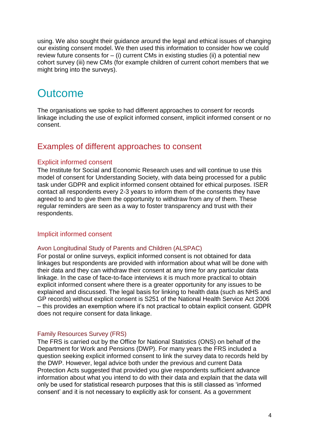using. We also sought their guidance around the legal and ethical issues of changing our existing consent model. We then used this information to consider how we could review future consents for  $-$  (i) current CMs in existing studies (ii) a potential new cohort survey (iii) new CMs (for example children of current cohort members that we might bring into the surveys).

## <span id="page-4-0"></span>**Outcome**

The organisations we spoke to had different approaches to consent for records linkage including the use of explicit informed consent, implicit informed consent or no consent.

#### <span id="page-4-1"></span>Examples of different approaches to consent

#### <span id="page-4-2"></span>Explicit informed consent

The Institute for Social and Economic Research uses and will continue to use this model of consent for Understanding Society, with data being processed for a public task under GDPR and explicit informed consent obtained for ethical purposes. ISER contact all respondents every 2-3 years to inform them of the consents they have agreed to and to give them the opportunity to withdraw from any of them. These regular reminders are seen as a way to foster transparency and trust with their respondents.

#### <span id="page-4-3"></span>Implicit informed consent

#### <span id="page-4-4"></span>Avon Longitudinal Study of Parents and Children (ALSPAC)

For postal or online surveys, explicit informed consent is not obtained for data linkages but respondents are provided with information about what will be done with their data and they can withdraw their consent at any time for any particular data linkage. In the case of face-to-face interviews it is much more practical to obtain explicit informed consent where there is a greater opportunity for any issues to be explained and discussed. The legal basis for linking to health data (such as NHS and GP records) without explicit consent is S251 of the National Health Service Act 2006 – this provides an exemption where it's not practical to obtain explicit consent. GDPR does not require consent for data linkage.

#### <span id="page-4-5"></span>Family Resources Survey (FRS)

The FRS is carried out by the Office for National Statistics (ONS) on behalf of the Department for Work and Pensions (DWP). For many years the FRS included a question seeking explicit informed consent to link the survey data to records held by the DWP. However, legal advice both under the previous and current Data Protection Acts suggested that provided you give respondents sufficient advance information about what you intend to do with their data and explain that the data will only be used for statistical research purposes that this is still classed as 'informed consent' and it is not necessary to explicitly ask for consent. As a government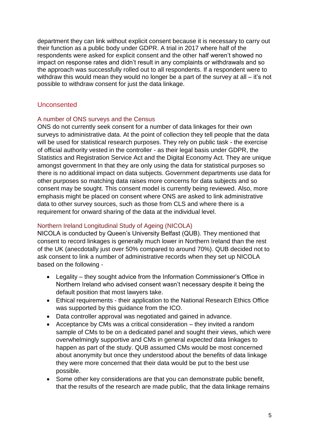department they can link without explicit consent because it is necessary to carry out their function as a public body under GDPR. A trial in 2017 where half of the respondents were asked for explicit consent and the other half weren't showed no impact on response rates and didn't result in any complaints or withdrawals and so the approach was successfully rolled out to all respondents. If a respondent were to withdraw this would mean they would no longer be a part of the survey at all – it's not possible to withdraw consent for just the data linkage.

#### <span id="page-5-0"></span>Unconsented

#### <span id="page-5-1"></span>A number of ONS surveys and the Census

ONS do not currently seek consent for a number of data linkages for their own surveys to administrative data. At the point of collection they tell people that the data will be used for statistical research purposes. They rely on public task - the exercise of official authority vested in the controller - as their legal basis under GDPR, the Statistics and Registration Service Act and the Digital Economy Act. They are unique amongst government In that they are only using the data for statistical purposes so there is no additional impact on data subjects. Government departments use data for other purposes so matching data raises more concerns for data subjects and so consent may be sought. This consent model is currently being reviewed. Also, more emphasis might be placed on consent where ONS are asked to link administrative data to other survey sources, such as those from CLS and where there is a requirement for onward sharing of the data at the individual level.

#### <span id="page-5-2"></span>Northern Ireland Longitudinal Study of Ageing (NICOLA)

NICOLA is conducted by Queen's University Belfast (QUB). They mentioned that consent to record linkages is generally much lower in Northern Ireland than the rest of the UK (anecdotally just over 50% compared to around 70%). QUB decided not to ask consent to link a number of administrative records when they set up NICOLA based on the following -

- Legality they sought advice from the Information Commissioner's Office in Northern Ireland who advised consent wasn't necessary despite it being the default position that most lawyers take.
- Ethical requirements their application to the National Research Ethics Office was supported by this guidance from the ICO.
- Data controller approval was negotiated and gained in advance.
- Acceptance by CMs was a critical consideration they invited a random sample of CMs to be on a dedicated panel and sought their views, which were overwhelmingly supportive and CMs in general *expected* data linkages to happen as part of the study. QUB assumed CMs would be most concerned about anonymity but once they understood about the benefits of data linkage they were more concerned that their data would be put to the best use possible.
- Some other key considerations are that you can demonstrate public benefit, that the results of the research are made public, that the data linkage remains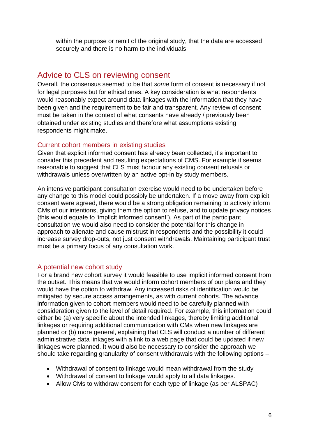within the purpose or remit of the original study, that the data are accessed securely and there is no harm to the individuals

#### <span id="page-6-0"></span>Advice to CLS on reviewing consent

Overall, the consensus seemed to be that *some* form of consent is necessary if not for legal purposes but for ethical ones. A key consideration is what respondents would reasonably expect around data linkages with the information that they have been given and the requirement to be fair and transparent. Any review of consent must be taken in the context of what consents have already / previously been obtained under existing studies and therefore what assumptions existing respondents might make.

#### <span id="page-6-1"></span>Current cohort members in existing studies

Given that explicit informed consent has already been collected, it's important to consider this precedent and resulting expectations of CMS. For example it seems reasonable to suggest that CLS must honour any existing consent refusals or withdrawals unless overwritten by an active opt-in by study members.

An intensive participant consultation exercise would need to be undertaken before any change to this model could possibly be undertaken. If a move away from explicit consent were agreed, there would be a strong obligation remaining to actively inform CMs of our intentions, giving them the option to refuse, and to update privacy notices (this would equate to 'implicit informed consent'). As part of the participant consultation we would also need to consider the potential for this change in approach to alienate and cause mistrust in respondents and the possibility it could increase survey drop-outs, not just consent withdrawals. Maintaining participant trust must be a primary focus of any consultation work.

#### <span id="page-6-2"></span>A potential new cohort study

For a brand new cohort survey it would feasible to use implicit informed consent from the outset. This means that we would inform cohort members of our plans and they would have the option to withdraw. Any increased risks of identification would be mitigated by secure access arrangements, as with current cohorts. The advance information given to cohort members would need to be carefully planned with consideration given to the level of detail required. For example, this information could either be (a) very specific about the intended linkages, thereby limiting additional linkages or requiring additional communication with CMs when new linkages are planned or (b) more general, explaining that CLS will conduct a number of different administrative data linkages with a link to a web page that could be updated if new linkages were planned. It would also be necessary to consider the approach we should take regarding granularity of consent withdrawals with the following options –

- Withdrawal of consent to linkage would mean withdrawal from the study
- Withdrawal of consent to linkage would apply to all data linkages.
- Allow CMs to withdraw consent for each type of linkage (as per ALSPAC)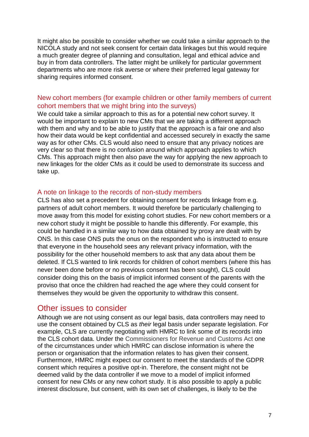It might also be possible to consider whether we could take a similar approach to the NICOLA study and not seek consent for certain data linkages but this would require a much greater degree of planning and consultation, legal and ethical advice and buy in from data controllers. The latter might be unlikely for particular government departments who are more risk averse or where their preferred legal gateway for sharing requires informed consent.

#### <span id="page-7-0"></span>New cohort members (for example children or other family members of current cohort members that we might bring into the surveys)

We could take a similar approach to this as for a potential new cohort survey. It would be important to explain to new CMs that we are taking a different approach with them and why and to be able to justify that the approach is a fair one and also how their data would be kept confidential and accessed securely in exactly the same way as for other CMs. CLS would also need to ensure that any privacy notices are very clear so that there is no confusion around which approach applies to which CMs. This approach might then also pave the way for applying the new approach to new linkages for the older CMs as it could be used to demonstrate its success and take up.

#### <span id="page-7-1"></span>A note on linkage to the records of non-study members

CLS has also set a precedent for obtaining consent for records linkage from e.g. partners of adult cohort members. It would therefore be particularly challenging to move away from this model for existing cohort studies. For new cohort members or a new cohort study it might be possible to handle this differently. For example, this could be handled in a similar way to how data obtained by proxy are dealt with by ONS. In this case ONS puts the onus on the respondent who is instructed to ensure that everyone in the household sees any relevant privacy information, with the possibility for the other household members to ask that any data about them be deleted. If CLS wanted to link records for children of cohort members (where this has never been done before or no previous consent has been sought), CLS could consider doing this on the basis of implicit informed consent of the parents with the proviso that once the children had reached the age where they could consent for themselves they would be given the opportunity to withdraw this consent.

#### <span id="page-7-2"></span>Other issues to consider

Although we are not using consent as our legal basis, data controllers may need to use the consent obtained by CLS as *their* legal basis under separate legislation. For example, CLS are currently negotiating with HMRC to link some of its records into the CLS cohort data. Under the Commissioners for Revenue and Customs Act one of the circumstances under which HMRC can disclose information is where the person or organisation that the information relates to has given their consent. Furthermore, HMRC might expect our consent to meet the standards of the GDPR consent which requires a positive opt-in. Therefore, the consent might not be deemed valid by the data controller if we move to a model of implicit informed consent for new CMs or any new cohort study. It is also possible to apply a public interest disclosure, but consent, with its own set of challenges, is likely to be the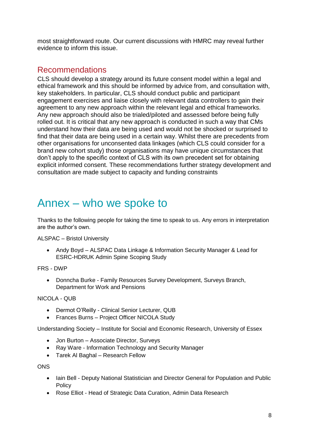most straightforward route. Our current discussions with HMRC may reveal further evidence to inform this issue.

#### <span id="page-8-0"></span>Recommendations

CLS should develop a strategy around its future consent model within a legal and ethical framework and this should be informed by advice from, and consultation with, key stakeholders. In particular, CLS should conduct public and participant engagement exercises and liaise closely with relevant data controllers to gain their agreement to any new approach within the relevant legal and ethical frameworks. Any new approach should also be trialed/piloted and assessed before being fully rolled out. It is critical that any new approach is conducted in such a way that CMs understand how their data are being used and would not be shocked or surprised to find that their data are being used in a certain way. Whilst there are precedents from other organisations for unconsented data linkages (which CLS could consider for a brand new cohort study) those organisations may have unique circumstances that don't apply to the specific context of CLS with its own precedent set for obtaining explicit informed consent. These recommendations further strategy development and consultation are made subject to capacity and funding constraints

## <span id="page-8-1"></span>Annex – who we spoke to

Thanks to the following people for taking the time to speak to us. Any errors in interpretation are the author's own.

ALSPAC – Bristol University

• Andy Boyd – ALSPAC Data Linkage & Information Security Manager & Lead for ESRC-HDRUK Admin Spine Scoping Study

FRS - DWP

 Donncha Burke - Family Resources Survey Development, Surveys Branch, Department for Work and Pensions

NICOLA - QUB

- Dermot O'Reilly Clinical Senior Lecturer, QUB
- Frances Burns Project Officer NICOLA Study

Understanding Society – Institute for Social and Economic Research, University of Essex

- Jon Burton Associate Director, Surveys
- Ray Ware Information Technology and Security Manager
- Tarek Al Baghal Research Fellow

ONS

- Iain Bell Deputy National Statistician and Director General for Population and Public Policy
- Rose Elliot Head of Strategic Data Curation, Admin Data Research